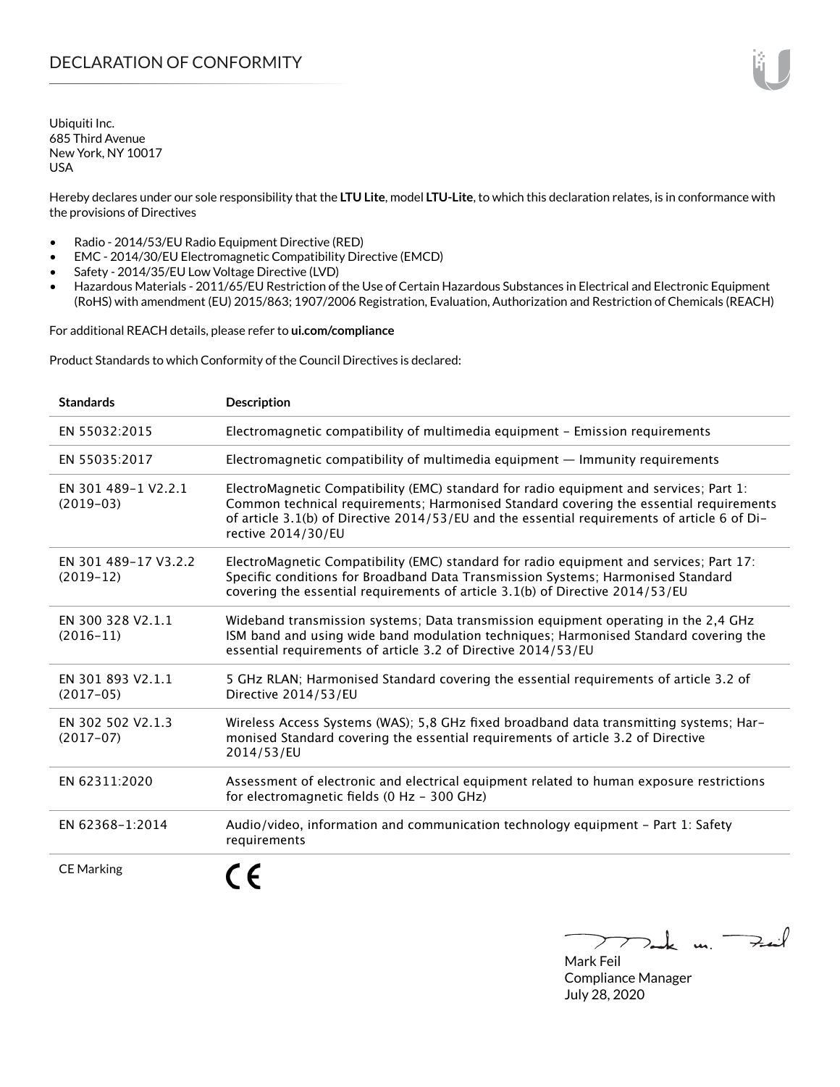Ubiquiti Inc. 685 Third Avenue New York, NY 10017 USA

Hereby declares under our sole responsibility that the **LTU Lite**, model **LTU-Lite**, to which this declaration relates, is in conformance with the provisions of Directives

- Radio 2014/53/EU Radio Equipment Directive (RED)
- EMC 2014/30/EU Electromagnetic Compatibility Directive (EMCD)
- Safety 2014/35/EU Low Voltage Directive (LVD)
- Hazardous Materials 2011/65/EU Restriction of the Use of Certain Hazardous Substances in Electrical and Electronic Equipment (RoHS) with amendment (EU) 2015/863; 1907/2006 Registration, Evaluation, Authorization and Restriction of Chemicals (REACH)

For additional REACH details, please refer to **<ui.com/compliance>**

Product Standards to which Conformity of the Council Directives is declared:

| <b>Standards</b>                    | <b>Description</b>                                                                                                                                                                                                                                                                                     |
|-------------------------------------|--------------------------------------------------------------------------------------------------------------------------------------------------------------------------------------------------------------------------------------------------------------------------------------------------------|
| EN 55032:2015                       | Electromagnetic compatibility of multimedia equipment - Emission requirements                                                                                                                                                                                                                          |
| EN 55035:2017                       | Electromagnetic compatibility of multimedia equipment - Immunity requirements                                                                                                                                                                                                                          |
| EN 301 489-1 V2.2.1<br>$(2019-03)$  | ElectroMagnetic Compatibility (EMC) standard for radio equipment and services; Part 1:<br>Common technical requirements; Harmonised Standard covering the essential requirements<br>of article 3.1(b) of Directive 2014/53/EU and the essential requirements of article 6 of Di-<br>rective 2014/30/EU |
| EN 301 489-17 V3.2.2<br>$(2019-12)$ | ElectroMagnetic Compatibility (EMC) standard for radio equipment and services; Part 17:<br>Specific conditions for Broadband Data Transmission Systems; Harmonised Standard<br>covering the essential requirements of article 3.1(b) of Directive 2014/53/EU                                           |
| EN 300 328 V2.1.1<br>$(2016 - 11)$  | Wideband transmission systems; Data transmission equipment operating in the 2,4 GHz<br>ISM band and using wide band modulation techniques; Harmonised Standard covering the<br>essential requirements of article 3.2 of Directive 2014/53/EU                                                           |
| EN 301 893 V2.1.1<br>$(2017-05)$    | 5 GHz RLAN; Harmonised Standard covering the essential requirements of article 3.2 of<br>Directive 2014/53/EU                                                                                                                                                                                          |
| EN 302 502 V2.1.3<br>$(2017-07)$    | Wireless Access Systems (WAS); 5,8 GHz fixed broadband data transmitting systems; Har-<br>monised Standard covering the essential requirements of article 3.2 of Directive<br>2014/53/EU                                                                                                               |
| EN 62311:2020                       | Assessment of electronic and electrical equipment related to human exposure restrictions<br>for electromagnetic fields (0 Hz - 300 GHz)                                                                                                                                                                |
| EN 62368-1:2014                     | Audio/video, information and communication technology equipment - Part 1: Safety<br>requirements                                                                                                                                                                                                       |
| <b>CE Marking</b>                   |                                                                                                                                                                                                                                                                                                        |

Tak m. Fail

Mark Feil Compliance Manager July 28, 2020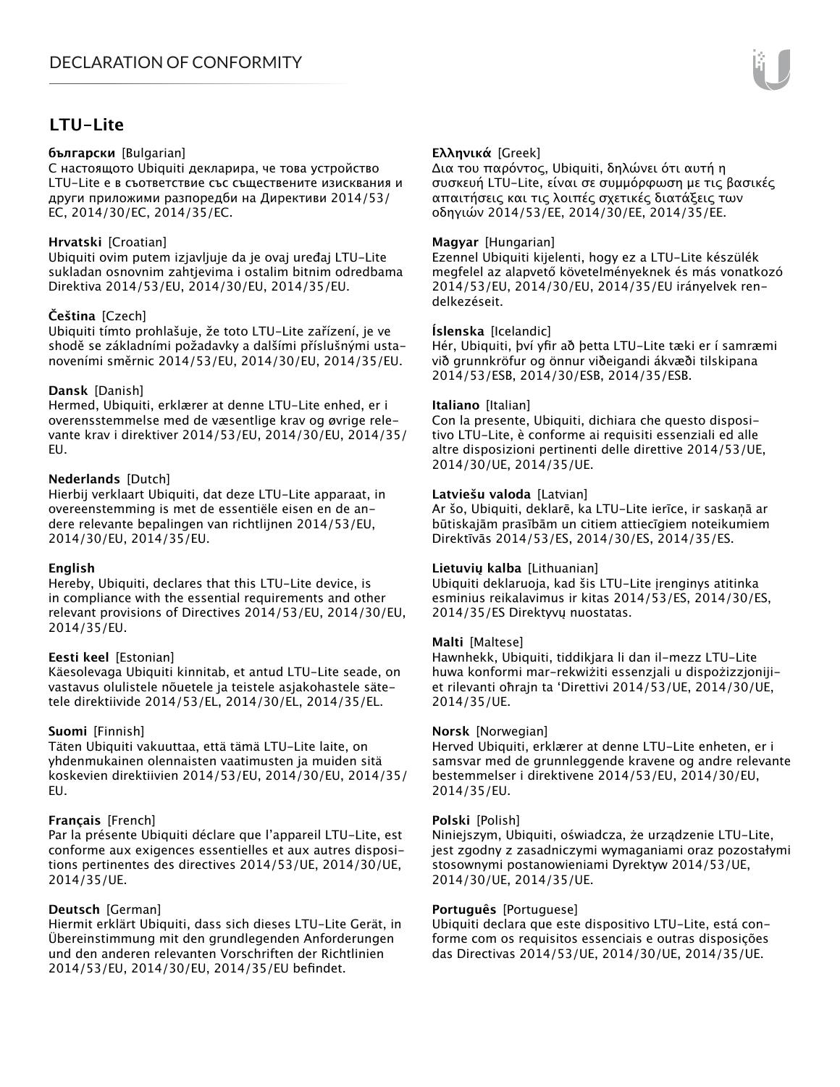# **LTU-Lite**

## **български** [Bulgarian]

С настоящото Ubiquiti декларира, че това устройство LTU-Lite е в съответствие със съществените изисквания и други приложими разпоредби на Директиви 2014/53/ EC, 2014/30/ЕС, 2014/35/ЕС.

## **Hrvatski** [Croatian]

Ubiquiti ovim putem izjavljuje da je ovaj uređaj LTU-Lite sukladan osnovnim zahtjevima i ostalim bitnim odredbama Direktiva 2014/53/EU, 2014/30/EU, 2014/35/EU.

# **Čeština** [Czech]

Ubiquiti tímto prohlašuje, že toto LTU-Lite zařízení, je ve shodě se základními požadavky a dalšími příslušnými ustanoveními směrnic 2014/53/EU, 2014/30/EU, 2014/35/EU.

# **Dansk** [Danish]

Hermed, Ubiquiti, erklærer at denne LTU-Lite enhed, er i overensstemmelse med de væsentlige krav og øvrige relevante krav i direktiver 2014/53/EU, 2014/30/EU, 2014/35/ EU.

# **Nederlands** [Dutch]

Hierbij verklaart Ubiquiti, dat deze LTU-Lite apparaat, in overeenstemming is met de essentiële eisen en de andere relevante bepalingen van richtlijnen 2014/53/EU, 2014/30/EU, 2014/35/EU.

## **English**

Hereby, Ubiquiti, declares that this LTU-Lite device, is in compliance with the essential requirements and other relevant provisions of Directives 2014/53/EU, 2014/30/EU, 2014/35/EU.

## **Eesti keel** [Estonian]

Käesolevaga Ubiquiti kinnitab, et antud LTU-Lite seade, on vastavus olulistele nõuetele ja teistele asjakohastele sätetele direktiivide 2014/53/EL, 2014/30/EL, 2014/35/EL.

## **Suomi** [Finnish]

Täten Ubiquiti vakuuttaa, että tämä LTU-Lite laite, on yhdenmukainen olennaisten vaatimusten ja muiden sitä koskevien direktiivien 2014/53/EU, 2014/30/EU, 2014/35/ EU.

## **Français** [French]

Par la présente Ubiquiti déclare que l'appareil LTU-Lite, est conforme aux exigences essentielles et aux autres dispositions pertinentes des directives 2014/53/UE, 2014/30/UE, 2014/35/UE.

## **Deutsch** [German]

Hiermit erklärt Ubiquiti, dass sich dieses LTU-Lite Gerät, in Übereinstimmung mit den grundlegenden Anforderungen und den anderen relevanten Vorschriften der Richtlinien 2014/53/EU, 2014/30/EU, 2014/35/EU befindet.

# **Ελληνικά** [Greek]

Δια του παρόντος, Ubiquiti, δηλώνει ότι αυτή η συσκευή LTU-Lite, είναι σε συμμόρφωση με τις βασικές απαιτήσεις και τις λοιπές σχετικές διατάξεις των οδηγιών 2014/53/EE, 2014/30/EE, 2014/35/EE.

## **Magyar** [Hungarian]

Ezennel Ubiquiti kijelenti, hogy ez a LTU-Lite készülék megfelel az alapvető követelményeknek és más vonatkozó 2014/53/EU, 2014/30/EU, 2014/35/EU irányelvek rendelkezéseit.

## **Íslenska** [Icelandic]

Hér, Ubiquiti, því yfir að þetta LTU-Lite tæki er í samræmi við grunnkröfur og önnur viðeigandi ákvæði tilskipana 2014/53/ESB, 2014/30/ESB, 2014/35/ESB.

## **Italiano** [Italian]

Con la presente, Ubiquiti, dichiara che questo dispositivo LTU-Lite, è conforme ai requisiti essenziali ed alle altre disposizioni pertinenti delle direttive 2014/53/UE, 2014/30/UE, 2014/35/UE.

## **Latviešu valoda** [Latvian]

Ar šo, Ubiquiti, deklarē, ka LTU-Lite ierīce, ir saskaņā ar būtiskajām prasībām un citiem attiecīgiem noteikumiem Direktīvās 2014/53/ES, 2014/30/ES, 2014/35/ES.

## **Lietuvių kalba** [Lithuanian]

Ubiquiti deklaruoja, kad šis LTU-Lite įrenginys atitinka esminius reikalavimus ir kitas 2014/53/ES, 2014/30/ES, 2014/35/ES Direktyvų nuostatas.

## **Malti** [Maltese]

Hawnhekk, Ubiquiti, tiddikjara li dan il-mezz LTU-Lite huwa konformi mar-rekwiżiti essenzjali u dispożizzjonijiet rilevanti oħrajn ta 'Direttivi 2014/53/UE, 2014/30/UE, 2014/35/UE.

## **Norsk** [Norwegian]

Herved Ubiquiti, erklærer at denne LTU-Lite enheten, er i samsvar med de grunnleggende kravene og andre relevante bestemmelser i direktivene 2014/53/EU, 2014/30/EU, 2014/35/EU.

## **Polski** [Polish]

Niniejszym, Ubiquiti, oświadcza, że urządzenie LTU-Lite, jest zgodny z zasadniczymi wymaganiami oraz pozostałymi stosownymi postanowieniami Dyrektyw 2014/53/UE, 2014/30/UE, 2014/35/UE.

## **Português** [Portuguese]

Ubiquiti declara que este dispositivo LTU-Lite, está conforme com os requisitos essenciais e outras disposições das Directivas 2014/53/UE, 2014/30/UE, 2014/35/UE.